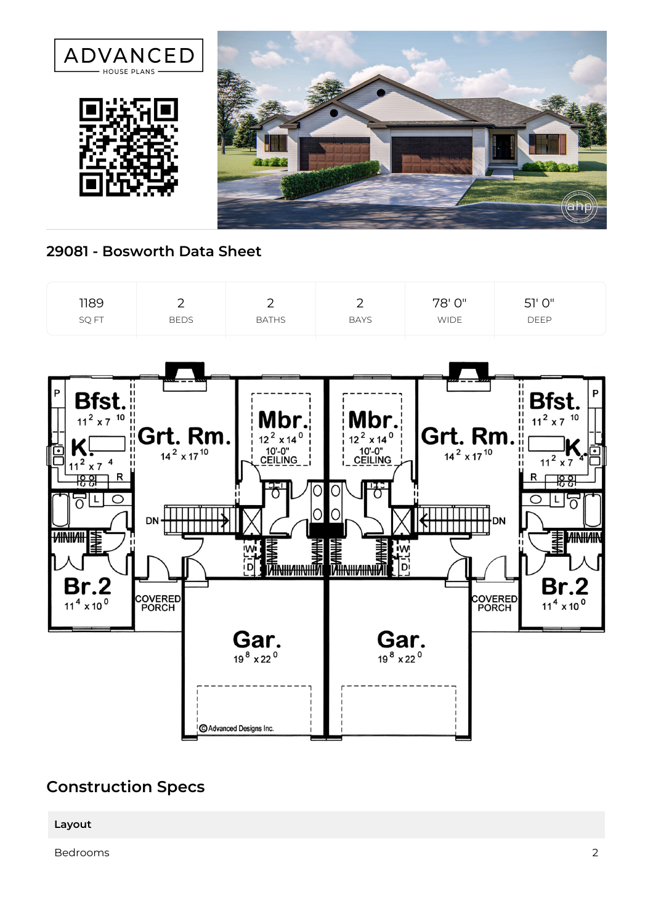

## **29081 - Bosworth Data Sheet**



## **Construction Specs**

**Layout**

Bedrooms 2